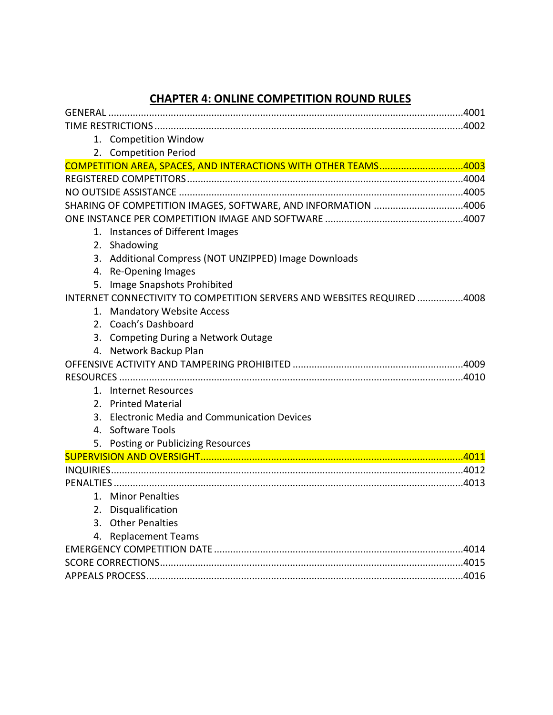# **CHAPTER 4: ONLINE COMPETITION ROUND RULES**

| 1. Competition Window                                                   |  |
|-------------------------------------------------------------------------|--|
| 2. Competition Period                                                   |  |
| COMPETITION AREA, SPACES, AND INTERACTIONS WITH OTHER TEAMS4003         |  |
|                                                                         |  |
|                                                                         |  |
| SHARING OF COMPETITION IMAGES, SOFTWARE, AND INFORMATION 4006           |  |
|                                                                         |  |
| 1. Instances of Different Images                                        |  |
| 2. Shadowing                                                            |  |
| 3. Additional Compress (NOT UNZIPPED) Image Downloads                   |  |
| 4. Re-Opening Images                                                    |  |
| Image Snapshots Prohibited<br>5.                                        |  |
| INTERNET CONNECTIVITY TO COMPETITION SERVERS AND WEBSITES REQUIRED 4008 |  |
| 1. Mandatory Website Access                                             |  |
| 2. Coach's Dashboard                                                    |  |
| 3. Competing During a Network Outage                                    |  |
| 4. Network Backup Plan                                                  |  |
|                                                                         |  |
|                                                                         |  |
| 1. Internet Resources                                                   |  |
| 2. Printed Material                                                     |  |
| 3. Electronic Media and Communication Devices                           |  |
| 4. Software Tools                                                       |  |
| 5. Posting or Publicizing Resources                                     |  |
|                                                                         |  |
|                                                                         |  |
|                                                                         |  |
| 1. Minor Penalties                                                      |  |
| 2. Disqualification                                                     |  |
| 3. Other Penalties                                                      |  |
| 4. Replacement Teams                                                    |  |
|                                                                         |  |
|                                                                         |  |
|                                                                         |  |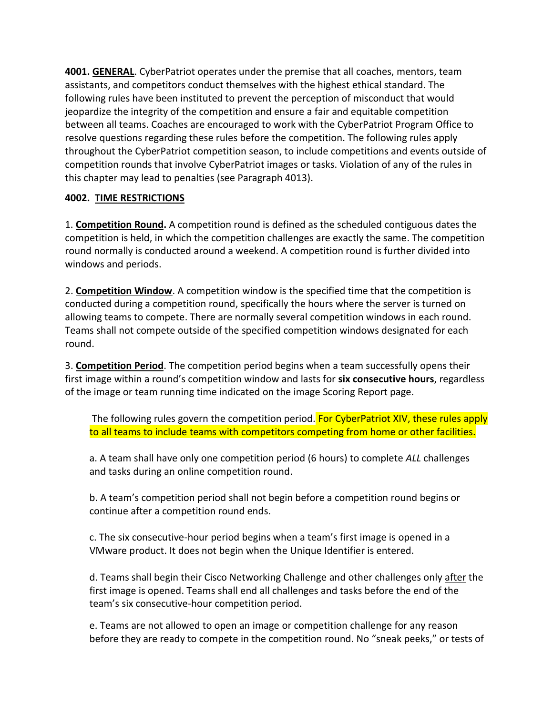**4001. GENERAL**. CyberPatriot operates under the premise that all coaches, mentors, team assistants, and competitors conduct themselves with the highest ethical standard. The following rules have been instituted to prevent the perception of misconduct that would jeopardize the integrity of the competition and ensure a fair and equitable competition between all teams. Coaches are encouraged to work with the CyberPatriot Program Office to resolve questions regarding these rules before the competition. The following rules apply throughout the CyberPatriot competition season, to include competitions and events outside of competition rounds that involve CyberPatriot images or tasks. Violation of any of the rules in this chapter may lead to penalties (see Paragraph 4013).

## **4002. TIME RESTRICTIONS**

1. **Competition Round.** A competition round is defined as the scheduled contiguous dates the competition is held, in which the competition challenges are exactly the same. The competition round normally is conducted around a weekend. A competition round is further divided into windows and periods.

2. **Competition Window**. A competition window is the specified time that the competition is conducted during a competition round, specifically the hours where the server is turned on allowing teams to compete. There are normally several competition windows in each round. Teams shall not compete outside of the specified competition windows designated for each round.

3. **Competition Period**. The competition period begins when a team successfully opens their first image within a round's competition window and lasts for **six consecutive hours**, regardless of the image or team running time indicated on the image Scoring Report page.

The following rules govern the competition period. For CyberPatriot XIV, these rules apply to all teams to include teams with competitors competing from home or other facilities.

a. A team shall have only one competition period (6 hours) to complete *ALL* challenges and tasks during an online competition round.

b. A team's competition period shall not begin before a competition round begins or continue after a competition round ends.

c. The six consecutive-hour period begins when a team's first image is opened in a VMware product. It does not begin when the Unique Identifier is entered.

d. Teams shall begin their Cisco Networking Challenge and other challenges only after the first image is opened. Teams shall end all challenges and tasks before the end of the team's six consecutive-hour competition period.

e. Teams are not allowed to open an image or competition challenge for any reason before they are ready to compete in the competition round. No "sneak peeks," or tests of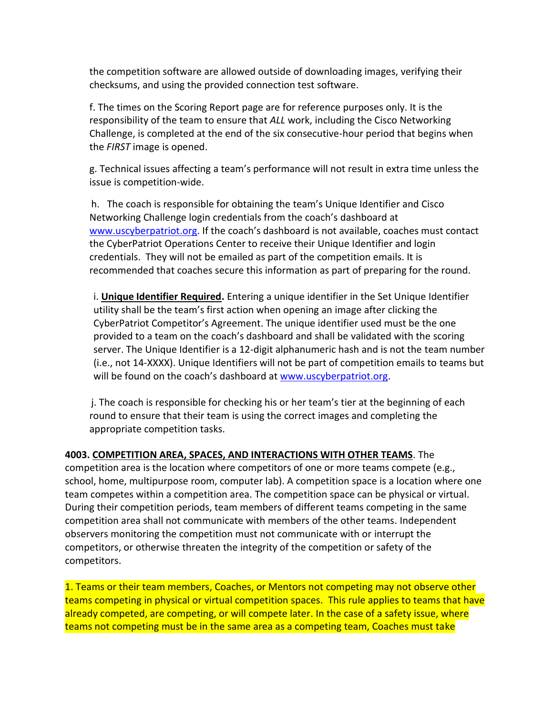the competition software are allowed outside of downloading images, verifying their checksums, and using the provided connection test software.

f. The times on the Scoring Report page are for reference purposes only. It is the responsibility of the team to ensure that *ALL* work, including the Cisco Networking Challenge, is completed at the end of the six consecutive-hour period that begins when the *FIRST* image is opened.

g. Technical issues affecting a team's performance will not result in extra time unless the issue is competition-wide.

 h. The coach is responsible for obtaining the team's Unique Identifier and Cisco Networking Challenge login credentials from the coach's dashboard at [www.uscyberpatriot.org.](http://www.uscyberpatriot.org/) If the coach's dashboard is not available, coaches must contact the CyberPatriot Operations Center to receive their Unique Identifier and login credentials. They will not be emailed as part of the competition emails. It is recommended that coaches secure this information as part of preparing for the round.

i. **Unique Identifier Required.** Entering a unique identifier in the Set Unique Identifier utility shall be the team's first action when opening an image after clicking the CyberPatriot Competitor's Agreement. The unique identifier used must be the one provided to a team on the coach's dashboard and shall be validated with the scoring server. The Unique Identifier is a 12-digit alphanumeric hash and is not the team number (i.e., not 14-XXXX). Unique Identifiers will not be part of competition emails to teams but will be found on the coach's dashboard at [www.uscyberpatriot.org.](http://www.uscyberpatriot.org/)

 j. The coach is responsible for checking his or her team's tier at the beginning of each round to ensure that their team is using the correct images and completing the appropriate competition tasks.

**4003. COMPETITION AREA, SPACES, AND INTERACTIONS WITH OTHER TEAMS**. The competition area is the location where competitors of one or more teams compete (e.g., school, home, multipurpose room, computer lab). A competition space is a location where one team competes within a competition area. The competition space can be physical or virtual. During their competition periods, team members of different teams competing in the same competition area shall not communicate with members of the other teams. Independent observers monitoring the competition must not communicate with or interrupt the competitors, or otherwise threaten the integrity of the competition or safety of the competitors.

1. Teams or their team members, Coaches, or Mentors not competing may not observe other teams competing in physical or virtual competition spaces. This rule applies to teams that have already competed, are competing, or will compete later. In the case of a safety issue, where teams not competing must be in the same area as a competing team, Coaches must take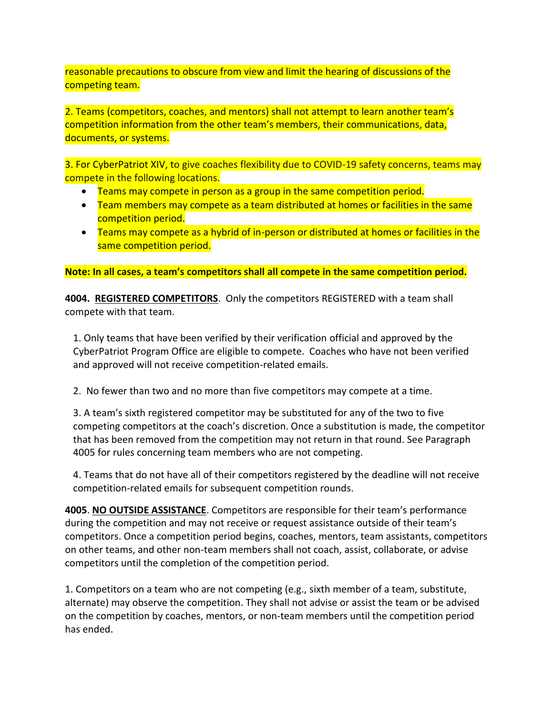reasonable precautions to obscure from view and limit the hearing of discussions of the competing team.

2. Teams (competitors, coaches, and mentors) shall not attempt to learn another team's competition information from the other team's members, their communications, data, documents, or systems.

3. For CyberPatriot XIV, to give coaches flexibility due to COVID-19 safety concerns, teams may compete in the following locations.

- Teams may compete in person as a group in the same competition period.
- Team members may compete as a team distributed at homes or facilities in the same competition period.
- Teams may compete as a hybrid of in-person or distributed at homes or facilities in the same competition period.

**Note: In all cases, a team's competitors shall all compete in the same competition period.**

**4004. REGISTERED COMPETITORS**. Only the competitors REGISTERED with a team shall compete with that team.

1. Only teams that have been verified by their verification official and approved by the CyberPatriot Program Office are eligible to compete. Coaches who have not been verified and approved will not receive competition-related emails.

2. No fewer than two and no more than five competitors may compete at a time.

3. A team's sixth registered competitor may be substituted for any of the two to five competing competitors at the coach's discretion. Once a substitution is made, the competitor that has been removed from the competition may not return in that round. See Paragraph 4005 for rules concerning team members who are not competing.

4. Teams that do not have all of their competitors registered by the deadline will not receive competition-related emails for subsequent competition rounds.

**4005**. **NO OUTSIDE ASSISTANCE**. Competitors are responsible for their team's performance during the competition and may not receive or request assistance outside of their team's competitors. Once a competition period begins, coaches, mentors, team assistants, competitors on other teams, and other non-team members shall not coach, assist, collaborate, or advise competitors until the completion of the competition period.

1. Competitors on a team who are not competing (e.g., sixth member of a team, substitute, alternate) may observe the competition. They shall not advise or assist the team or be advised on the competition by coaches, mentors, or non-team members until the competition period has ended.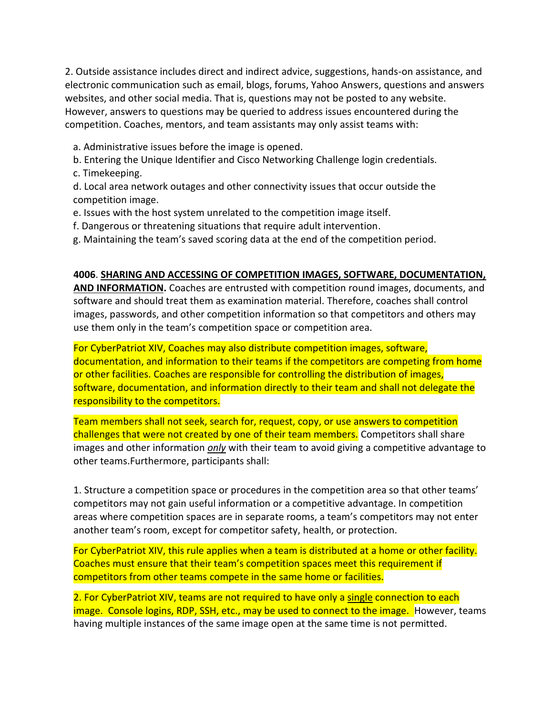2. Outside assistance includes direct and indirect advice, suggestions, hands-on assistance, and electronic communication such as email, blogs, forums, Yahoo Answers, questions and answers websites, and other social media. That is, questions may not be posted to any website. However, answers to questions may be queried to address issues encountered during the competition. Coaches, mentors, and team assistants may only assist teams with:

- a. Administrative issues before the image is opened.
- b. Entering the Unique Identifier and Cisco Networking Challenge login credentials.
- c. Timekeeping.

d. Local area network outages and other connectivity issues that occur outside the competition image.

- e. Issues with the host system unrelated to the competition image itself.
- f. Dangerous or threatening situations that require adult intervention.
- g. Maintaining the team's saved scoring data at the end of the competition period.

#### **4006**. **SHARING AND ACCESSING OF COMPETITION IMAGES, SOFTWARE, DOCUMENTATION,**

**AND INFORMATION.** Coaches are entrusted with competition round images, documents, and software and should treat them as examination material. Therefore, coaches shall control images, passwords, and other competition information so that competitors and others may use them only in the team's competition space or competition area.

For CyberPatriot XIV, Coaches may also distribute competition images, software, documentation, and information to their teams if the competitors are competing from home or other facilities. Coaches are responsible for controlling the distribution of images, software, documentation, and information directly to their team and shall not delegate the responsibility to the competitors.

Team members shall not seek, search for, request, copy, or use answers to competition challenges that were not created by one of their team members. Competitors shall share images and other information *only* with their team to avoid giving a competitive advantage to other teams.Furthermore, participants shall:

1. Structure a competition space or procedures in the competition area so that other teams' competitors may not gain useful information or a competitive advantage. In competition areas where competition spaces are in separate rooms, a team's competitors may not enter another team's room, except for competitor safety, health, or protection.

For CyberPatriot XIV, this rule applies when a team is distributed at a home or other facility. Coaches must ensure that their team's competition spaces meet this requirement if competitors from other teams compete in the same home or facilities.

2. For CyberPatriot XIV, teams are not required to have only a single connection to each image. Console logins, RDP, SSH, etc., may be used to connect to the image. However, teams having multiple instances of the same image open at the same time is not permitted.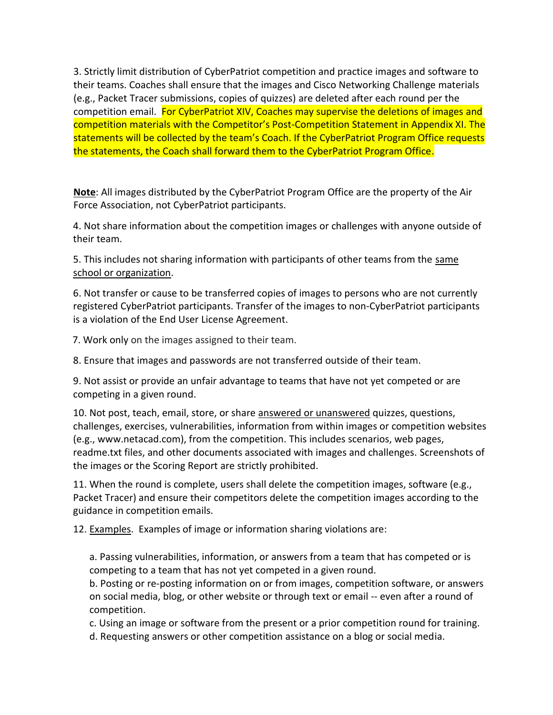3. Strictly limit distribution of CyberPatriot competition and practice images and software to their teams. Coaches shall ensure that the images and Cisco Networking Challenge materials (e.g., Packet Tracer submissions, copies of quizzes) are deleted after each round per the competition email. For CyberPatriot XIV, Coaches may supervise the deletions of images and competition materials with the Competitor's Post-Competition Statement in Appendix XI. The statements will be collected by the team's Coach. If the CyberPatriot Program Office requests the statements, the Coach shall forward them to the CyberPatriot Program Office.

**Note**: All images distributed by the CyberPatriot Program Office are the property of the Air Force Association, not CyberPatriot participants.

4. Not share information about the competition images or challenges with anyone outside of their team.

5. This includes not sharing information with participants of other teams from the same school or organization.

6. Not transfer or cause to be transferred copies of images to persons who are not currently registered CyberPatriot participants. Transfer of the images to non-CyberPatriot participants is a violation of the End User License Agreement.

7. Work only on the images assigned to their team.

8. Ensure that images and passwords are not transferred outside of their team.

9. Not assist or provide an unfair advantage to teams that have not yet competed or are competing in a given round.

10. Not post, teach, email, store, or share answered or unanswered quizzes, questions, challenges, exercises, vulnerabilities, information from within images or competition websites (e.g., www.netacad.com), from the competition. This includes scenarios, web pages, readme.txt files, and other documents associated with images and challenges. Screenshots of the images or the Scoring Report are strictly prohibited.

11. When the round is complete, users shall delete the competition images, software (e.g., Packet Tracer) and ensure their competitors delete the competition images according to the guidance in competition emails.

12. Examples. Examples of image or information sharing violations are:

a. Passing vulnerabilities, information, or answers from a team that has competed or is competing to a team that has not yet competed in a given round.

b. Posting or re-posting information on or from images, competition software, or answers on social media, blog, or other website or through text or email -- even after a round of competition.

c. Using an image or software from the present or a prior competition round for training.

d. Requesting answers or other competition assistance on a blog or social media.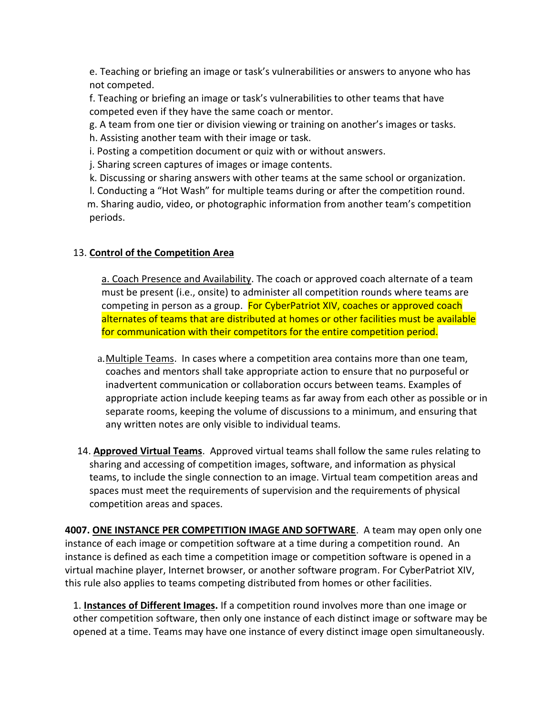e. Teaching or briefing an image or task's vulnerabilities or answers to anyone who has not competed.

f. Teaching or briefing an image or task's vulnerabilities to other teams that have competed even if they have the same coach or mentor.

g. A team from one tier or division viewing or training on another's images or tasks.

h. Assisting another team with their image or task.

i. Posting a competition document or quiz with or without answers.

j. Sharing screen captures of images or image contents.

k. Discussing or sharing answers with other teams at the same school or organization.

 l. Conducting a "Hot Wash" for multiple teams during or after the competition round. m. Sharing audio, video, or photographic information from another team's competition periods.

## 13. **Control of the Competition Area**

a. Coach Presence and Availability. The coach or approved coach alternate of a team must be present (i.e., onsite) to administer all competition rounds where teams are competing in person as a group. For CyberPatriot XIV, coaches or approved coach alternates of teams that are distributed at homes or other facilities must be available for communication with their competitors for the entire competition period.

- a.Multiple Teams. In cases where a competition area contains more than one team, coaches and mentors shall take appropriate action to ensure that no purposeful or inadvertent communication or collaboration occurs between teams. Examples of appropriate action include keeping teams as far away from each other as possible or in separate rooms, keeping the volume of discussions to a minimum, and ensuring that any written notes are only visible to individual teams.
- 14. **Approved Virtual Teams**. Approved virtual teams shall follow the same rules relating to sharing and accessing of competition images, software, and information as physical teams, to include the single connection to an image. Virtual team competition areas and spaces must meet the requirements of supervision and the requirements of physical competition areas and spaces.

**4007. ONE INSTANCE PER COMPETITION IMAGE AND SOFTWARE**. A team may open only one instance of each image or competition software at a time during a competition round. An instance is defined as each time a competition image or competition software is opened in a virtual machine player, Internet browser, or another software program. For CyberPatriot XIV, this rule also applies to teams competing distributed from homes or other facilities.

1. **Instances of Different Images.** If a competition round involves more than one image or other competition software, then only one instance of each distinct image or software may be opened at a time. Teams may have one instance of every distinct image open simultaneously.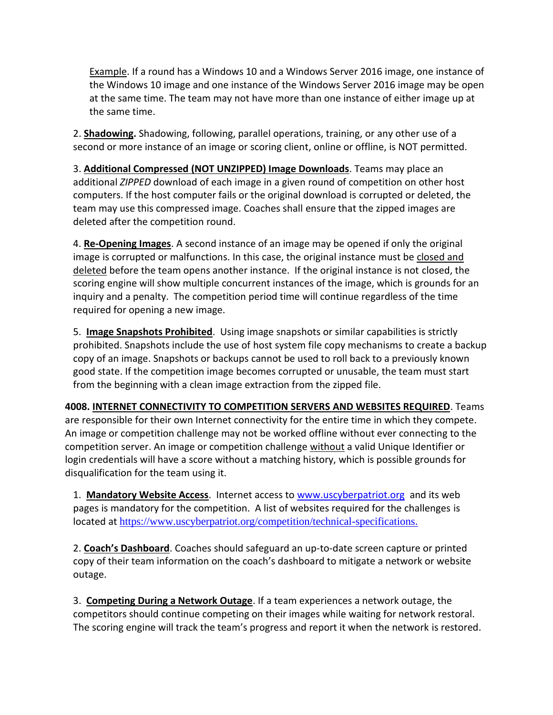Example. If a round has a Windows 10 and a Windows Server 2016 image, one instance of the Windows 10 image and one instance of the Windows Server 2016 image may be open at the same time. The team may not have more than one instance of either image up at the same time.

2. **Shadowing.** Shadowing, following, parallel operations, training, or any other use of a second or more instance of an image or scoring client, online or offline, is NOT permitted.

3. **Additional Compressed (NOT UNZIPPED) Image Downloads**. Teams may place an additional *ZIPPED* download of each image in a given round of competition on other host computers. If the host computer fails or the original download is corrupted or deleted, the team may use this compressed image. Coaches shall ensure that the zipped images are deleted after the competition round.

4. **Re-Opening Images**. A second instance of an image may be opened if only the original image is corrupted or malfunctions. In this case, the original instance must be closed and deleted before the team opens another instance. If the original instance is not closed, the scoring engine will show multiple concurrent instances of the image, which is grounds for an inquiry and a penalty. The competition period time will continue regardless of the time required for opening a new image.

5. **Image Snapshots Prohibited**. Using image snapshots or similar capabilities is strictly prohibited. Snapshots include the use of host system file copy mechanisms to create a backup copy of an image. Snapshots or backups cannot be used to roll back to a previously known good state. If the competition image becomes corrupted or unusable, the team must start from the beginning with a clean image extraction from the zipped file.

**4008. INTERNET CONNECTIVITY TO COMPETITION SERVERS AND WEBSITES REQUIRED**. Teams are responsible for their own Internet connectivity for the entire time in which they compete. An image or competition challenge may not be worked offline without ever connecting to the competition server. An image or competition challenge without a valid Unique Identifier or login credentials will have a score without a matching history, which is possible grounds for disqualification for the team using it.

1. **Mandatory Website Access**. Internet access to [www.uscyberpatriot.org](http://www.uscyberpatriot.org/) and its web pages is mandatory for the competition. A list of websites required for the challenges is located at <https://www.uscyberpatriot.org/competition/technical-specifications>.

2. **Coach's Dashboard**. Coaches should safeguard an up-to-date screen capture or printed copy of their team information on the coach's dashboard to mitigate a network or website outage.

3. **Competing During a Network Outage**. If a team experiences a network outage, the competitors should continue competing on their images while waiting for network restoral. The scoring engine will track the team's progress and report it when the network is restored.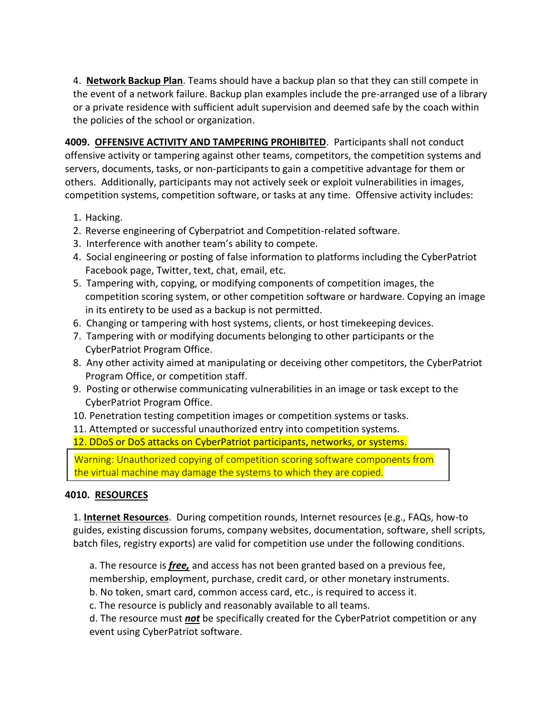4. **Network Backup Plan**. Teams should have a backup plan so that they can still compete in the event of a network failure. Backup plan examples include the pre-arranged use of a library or a private residence with sufficient adult supervision and deemed safe by the coach within the policies of the school or organization.

**4009. OFFENSIVE ACTIVITY AND TAMPERING PROHIBITED**. Participants shall not conduct offensive activity or tampering against other teams, competitors, the competition systems and servers, documents, tasks, or non-participants to gain a competitive advantage for them or others. Additionally, participants may not actively seek or exploit vulnerabilities in images, competition systems, competition software, or tasks at any time. Offensive activity includes:

- 1. Hacking.
- 2. Reverse engineering of Cyberpatriot and Competition-related software.
- 3. Interference with another team's ability to compete.
- 4. Social engineering or posting of false information to platforms including the CyberPatriot Facebook page, Twitter, text, chat, email, etc.
- 5. Tampering with, copying, or modifying components of competition images, the competition scoring system, or other competition software or hardware. Copying an image in its entirety to be used as a backup is not permitted.
- 6. Changing or tampering with host systems, clients, or host timekeeping devices.
- 7. Tampering with or modifying documents belonging to other participants or the CyberPatriot Program Office.
- 8. Any other activity aimed at manipulating or deceiving other competitors, the CyberPatriot Program Office, or competition staff.
- 9. Posting or otherwise communicating vulnerabilities in an image or task except to the CyberPatriot Program Office.
- 10. Penetration testing competition images or competition systems or tasks.

11. Attempted or successful unauthorized entry into competition systems.

12. DDoS or DoS attacks on CyberPatriot participants, networks, or systems.

Warning: Unauthorized copying of competition scoring software components from the virtual machine may damage the systems to which they are copied.

#### **4010. RESOURCES**

1. **Internet Resources**. During competition rounds, Internet resources (e.g., FAQs, how-to guides, existing discussion forums, company websites, documentation, software, shell scripts, batch files, registry exports) are valid for competition use under the following conditions.

a. The resource is *free,* and access has not been granted based on a previous fee,

membership, employment, purchase, credit card, or other monetary instruments.

b. No token, smart card, common access card, etc., is required to access it.

c. The resource is publicly and reasonably available to all teams.

d. The resource must *not* be specifically created for the CyberPatriot competition or any event using CyberPatriot software.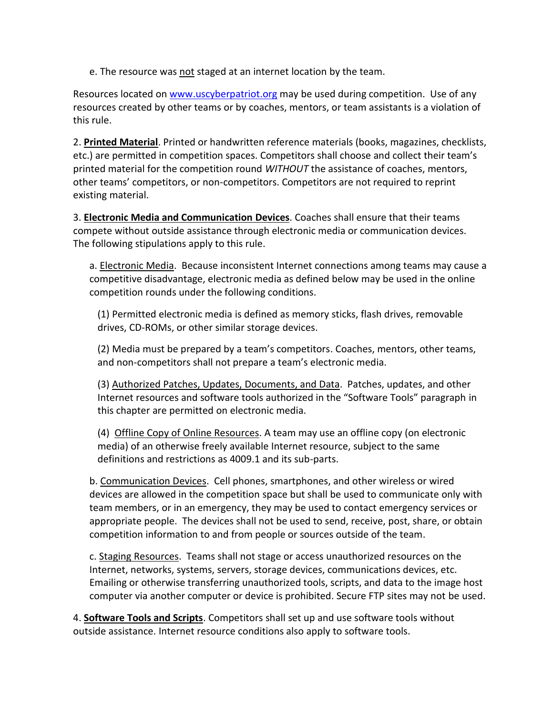e. The resource was not staged at an internet location by the team.

Resources located o[n www.uscyberpatriot.org](http://www.uscyberpatriot.org/) may be used during competition. Use of any resources created by other teams or by coaches, mentors, or team assistants is a violation of this rule.

2. **Printed Material**. Printed or handwritten reference materials (books, magazines, checklists, etc.) are permitted in competition spaces. Competitors shall choose and collect their team's printed material for the competition round *WITHOUT* the assistance of coaches, mentors, other teams' competitors, or non-competitors. Competitors are not required to reprint existing material.

3. **Electronic Media and Communication Devices**. Coaches shall ensure that their teams compete without outside assistance through electronic media or communication devices. The following stipulations apply to this rule.

a. Electronic Media. Because inconsistent Internet connections among teams may cause a competitive disadvantage, electronic media as defined below may be used in the online competition rounds under the following conditions.

(1) Permitted electronic media is defined as memory sticks, flash drives, removable drives, CD-ROMs, or other similar storage devices.

(2) Media must be prepared by a team's competitors. Coaches, mentors, other teams, and non-competitors shall not prepare a team's electronic media.

(3) Authorized Patches, Updates, Documents, and Data. Patches, updates, and other Internet resources and software tools authorized in the "Software Tools" paragraph in this chapter are permitted on electronic media.

(4) Offline Copy of Online Resources. A team may use an offline copy (on electronic media) of an otherwise freely available Internet resource, subject to the same definitions and restrictions as 4009.1 and its sub-parts.

b. Communication Devices. Cell phones, smartphones, and other wireless or wired devices are allowed in the competition space but shall be used to communicate only with team members, or in an emergency, they may be used to contact emergency services or appropriate people. The devices shall not be used to send, receive, post, share, or obtain competition information to and from people or sources outside of the team.

c. Staging Resources. Teams shall not stage or access unauthorized resources on the Internet, networks, systems, servers, storage devices, communications devices, etc. Emailing or otherwise transferring unauthorized tools, scripts, and data to the image host computer via another computer or device is prohibited. Secure FTP sites may not be used.

4. **Software Tools and Scripts**. Competitors shall set up and use software tools without outside assistance. Internet resource conditions also apply to software tools.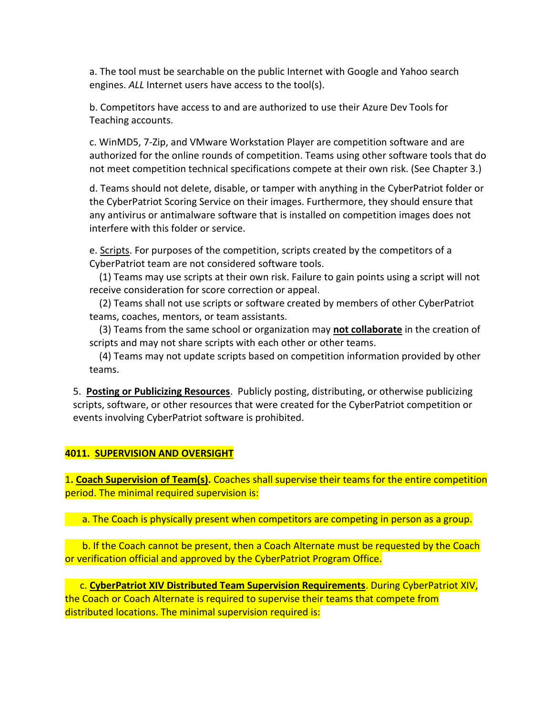a. The tool must be searchable on the public Internet with Google and Yahoo search engines. *ALL* Internet users have access to the tool(s).

b. Competitors have access to and are authorized to use their Azure Dev Tools for Teaching accounts.

c. WinMD5, 7-Zip, and VMware Workstation Player are competition software and are authorized for the online rounds of competition. Teams using other software tools that do not meet competition technical specifications compete at their own risk. (See Chapter 3.)

d. Teams should not delete, disable, or tamper with anything in the CyberPatriot folder or the CyberPatriot Scoring Service on their images. Furthermore, they should ensure that any antivirus or antimalware software that is installed on competition images does not interfere with this folder or service.

e. Scripts. For purposes of the competition, scripts created by the competitors of a CyberPatriot team are not considered software tools.

 (1) Teams may use scripts at their own risk. Failure to gain points using a script will not receive consideration for score correction or appeal.

 (2) Teams shall not use scripts or software created by members of other CyberPatriot teams, coaches, mentors, or team assistants.

 (3) Teams from the same school or organization may **not collaborate** in the creation of scripts and may not share scripts with each other or other teams.

 (4) Teams may not update scripts based on competition information provided by other teams.

5. **Posting or Publicizing Resources**. Publicly posting, distributing, or otherwise publicizing scripts, software, or other resources that were created for the CyberPatriot competition or events involving CyberPatriot software is prohibited.

#### **4011. SUPERVISION AND OVERSIGHT**

1**. Coach Supervision of Team(s).** Coaches shall supervise their teams for the entire competition period. The minimal required supervision is:

a. The Coach is physically present when competitors are competing in person as a group.

 b. If the Coach cannot be present, then a Coach Alternate must be requested by the Coach or verification official and approved by the CyberPatriot Program Office.

 c. **CyberPatriot XIV Distributed Team Supervision Requirements**. During CyberPatriot XIV, the Coach or Coach Alternate is required to supervise their teams that compete from distributed locations. The minimal supervision required is: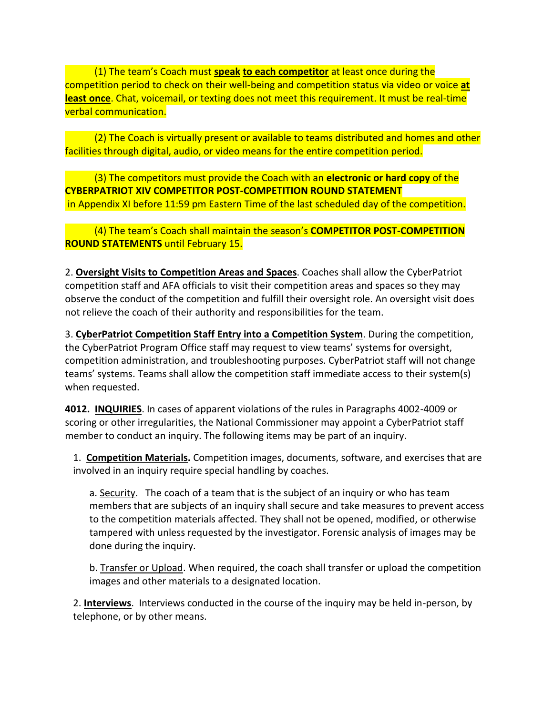(1) The team's Coach must **speak to each competitor** at least once during the competition period to check on their well-being and competition status via video or voice **at least once**. Chat, voicemail, or texting does not meet this requirement. It must be real-time verbal communication.

 (2) The Coach is virtually present or available to teams distributed and homes and other facilities through digital, audio, or video means for the entire competition period.

 (3) The competitors must provide the Coach with an **electronic or hard copy** of the **CYBERPATRIOT XIV COMPETITOR POST-COMPETITION ROUND STATEMENT** in Appendix XI before 11:59 pm Eastern Time of the last scheduled day of the competition.

### (4) The team's Coach shall maintain the season's **COMPETITOR POST-COMPETITION ROUND STATEMENTS** until February 15.

2. **Oversight Visits to Competition Areas and Spaces**. Coaches shall allow the CyberPatriot competition staff and AFA officials to visit their competition areas and spaces so they may observe the conduct of the competition and fulfill their oversight role. An oversight visit does not relieve the coach of their authority and responsibilities for the team.

3. **CyberPatriot Competition Staff Entry into a Competition System**. During the competition, the CyberPatriot Program Office staff may request to view teams' systems for oversight, competition administration, and troubleshooting purposes. CyberPatriot staff will not change teams' systems. Teams shall allow the competition staff immediate access to their system(s) when requested.

**4012. INQUIRIES**. In cases of apparent violations of the rules in Paragraphs 4002-4009 or scoring or other irregularities, the National Commissioner may appoint a CyberPatriot staff member to conduct an inquiry. The following items may be part of an inquiry.

1. **Competition Materials.** Competition images, documents, software, and exercises that are involved in an inquiry require special handling by coaches.

a. Security. The coach of a team that is the subject of an inquiry or who has team members that are subjects of an inquiry shall secure and take measures to prevent access to the competition materials affected. They shall not be opened, modified, or otherwise tampered with unless requested by the investigator. Forensic analysis of images may be done during the inquiry.

b. Transfer or Upload. When required, the coach shall transfer or upload the competition images and other materials to a designated location.

2. **Interviews**. Interviews conducted in the course of the inquiry may be held in-person, by telephone, or by other means.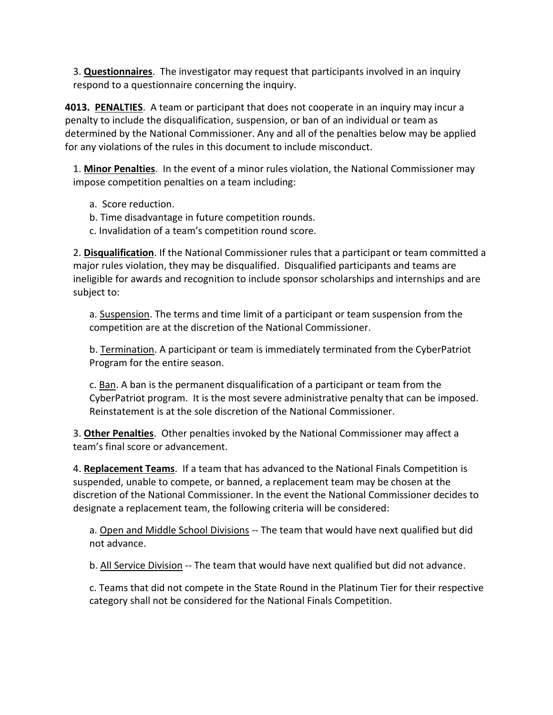3. **Questionnaires**. The investigator may request that participants involved in an inquiry respond to a questionnaire concerning the inquiry.

**4013. PENALTIES**. A team or participant that does not cooperate in an inquiry may incur a penalty to include the disqualification, suspension, or ban of an individual or team as determined by the National Commissioner. Any and all of the penalties below may be applied for any violations of the rules in this document to include misconduct.

1. **Minor Penalties**. In the event of a minor rules violation, the National Commissioner may impose competition penalties on a team including:

- a. Score reduction.
- b. Time disadvantage in future competition rounds.
- c. Invalidation of a team's competition round score.

2. **Disqualification**. If the National Commissioner rules that a participant or team committed a major rules violation, they may be disqualified. Disqualified participants and teams are ineligible for awards and recognition to include sponsor scholarships and internships and are subject to:

a. Suspension. The terms and time limit of a participant or team suspension from the competition are at the discretion of the National Commissioner.

b. Termination. A participant or team is immediately terminated from the CyberPatriot Program for the entire season.

c. Ban. A ban is the permanent disqualification of a participant or team from the CyberPatriot program. It is the most severe administrative penalty that can be imposed. Reinstatement is at the sole discretion of the National Commissioner.

3. **Other Penalties**. Other penalties invoked by the National Commissioner may affect a team's final score or advancement.

4. **Replacement Teams**. If a team that has advanced to the National Finals Competition is suspended, unable to compete, or banned, a replacement team may be chosen at the discretion of the National Commissioner. In the event the National Commissioner decides to designate a replacement team, the following criteria will be considered:

a. Open and Middle School Divisions -- The team that would have next qualified but did not advance.

b. All Service Division -- The team that would have next qualified but did not advance.

c. Teams that did not compete in the State Round in the Platinum Tier for their respective category shall not be considered for the National Finals Competition.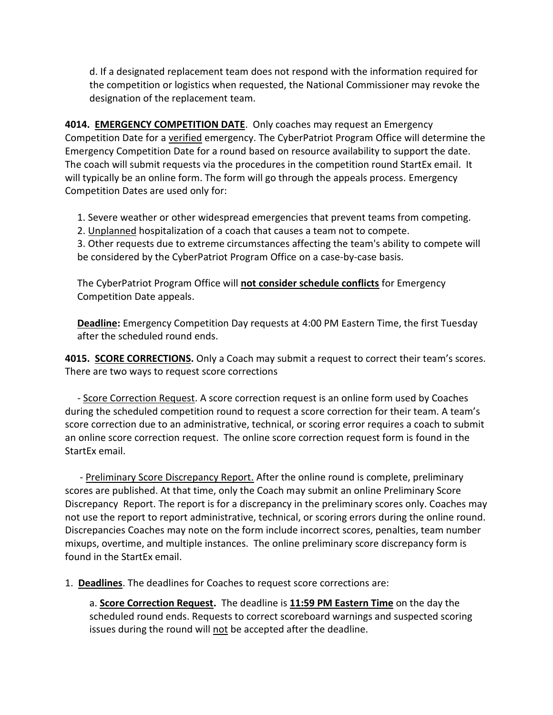d. If a designated replacement team does not respond with the information required for the competition or logistics when requested, the National Commissioner may revoke the designation of the replacement team.

**4014. EMERGENCY COMPETITION DATE**. Only coaches may request an Emergency Competition Date for a verified emergency. The CyberPatriot Program Office will determine the Emergency Competition Date for a round based on resource availability to support the date. The coach will submit requests via the procedures in the competition round StartEx email. It will typically be an online form. The form will go through the appeals process. Emergency Competition Dates are used only for:

1. Severe weather or other widespread emergencies that prevent teams from competing.

2. Unplanned hospitalization of a coach that causes a team not to compete.

3. Other requests due to extreme circumstances affecting the team's ability to compete will be considered by the CyberPatriot Program Office on a case-by-case basis.

The CyberPatriot Program Office will **not consider schedule conflicts** for Emergency Competition Date appeals.

**Deadline:** Emergency Competition Day requests at 4:00 PM Eastern Time, the first Tuesday after the scheduled round ends.

**4015. SCORE CORRECTIONS.** Only a Coach may submit a request to correct their team's scores. There are two ways to request score corrections

 - Score Correction Request. A score correction request is an online form used by Coaches during the scheduled competition round to request a score correction for their team. A team's score correction due to an administrative, technical, or scoring error requires a coach to submit an online score correction request. The online score correction request form is found in the StartEx email.

 - Preliminary Score Discrepancy Report. After the online round is complete, preliminary scores are published. At that time, only the Coach may submit an online Preliminary Score Discrepancy Report. The report is for a discrepancy in the preliminary scores only. Coaches may not use the report to report administrative, technical, or scoring errors during the online round. Discrepancies Coaches may note on the form include incorrect scores, penalties, team number mixups, overtime, and multiple instances. The online preliminary score discrepancy form is found in the StartEx email.

1. **Deadlines**. The deadlines for Coaches to request score corrections are:

a. **Score Correction Request.** The deadline is **11:59 PM Eastern Time** on the day the scheduled round ends. Requests to correct scoreboard warnings and suspected scoring issues during the round will not be accepted after the deadline.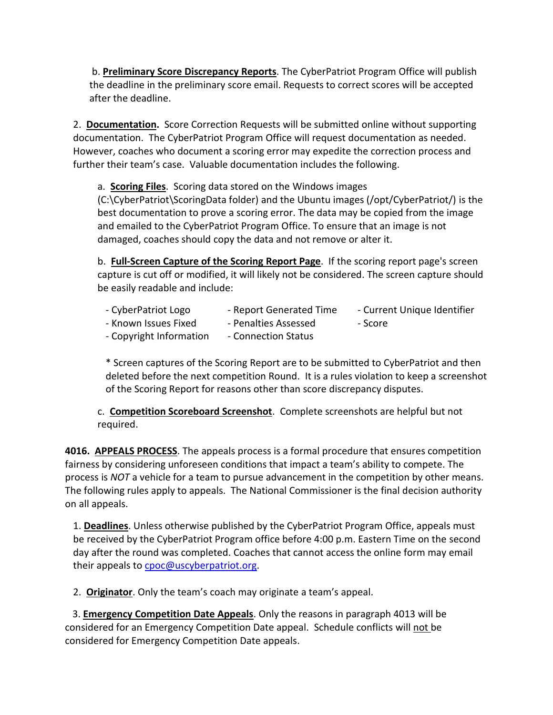b. **Preliminary Score Discrepancy Reports**. The CyberPatriot Program Office will publish the deadline in the preliminary score email. Requests to correct scores will be accepted after the deadline.

2. **Documentation.** Score Correction Requests will be submitted online without supporting documentation. The CyberPatriot Program Office will request documentation as needed. However, coaches who document a scoring error may expedite the correction process and further their team's case. Valuable documentation includes the following.

a. **Scoring Files**. Scoring data stored on the Windows images

(C:\CyberPatriot\ScoringData folder) and the Ubuntu images (/opt/CyberPatriot/) is the best documentation to prove a scoring error. The data may be copied from the image and emailed to the CyberPatriot Program Office. To ensure that an image is not damaged, coaches should copy the data and not remove or alter it.

b. **Full-Screen Capture of the Scoring Report Page**. If the scoring report page's screen capture is cut off or modified, it will likely not be considered. The screen capture should be easily readable and include:

- CyberPatriot Logo Fall report Generated Time Current Unique Identifier
- Known Issues Fixed Penalties Assessed Score
	-
- 
- Copyright Information Connection Status

\* Screen captures of the Scoring Report are to be submitted to CyberPatriot and then deleted before the next competition Round. It is a rules violation to keep a screenshot of the Scoring Report for reasons other than score discrepancy disputes.

c. **Competition Scoreboard Screenshot**.Complete screenshots are helpful but not required.

**4016. APPEALS PROCESS**. The appeals process is a formal procedure that ensures competition fairness by considering unforeseen conditions that impact a team's ability to compete. The process is *NOT* a vehicle for a team to pursue advancement in the competition by other means. The following rules apply to appeals. The National Commissioner is the final decision authority on all appeals.

1. **Deadlines**. Unless otherwise published by the CyberPatriot Program Office, appeals must be received by the CyberPatriot Program office before 4:00 p.m. Eastern Time on the second day after the round was completed. Coaches that cannot access the online form may email their appeals to [cpoc@uscyberpatriot.org.](mailto:cpoc@uscyberpatriot.org)

2. **Originator**. Only the team's coach may originate a team's appeal.

 3. **Emergency Competition Date Appeals**. Only the reasons in paragraph 4013 will be considered for an Emergency Competition Date appeal. Schedule conflicts will not be considered for Emergency Competition Date appeals.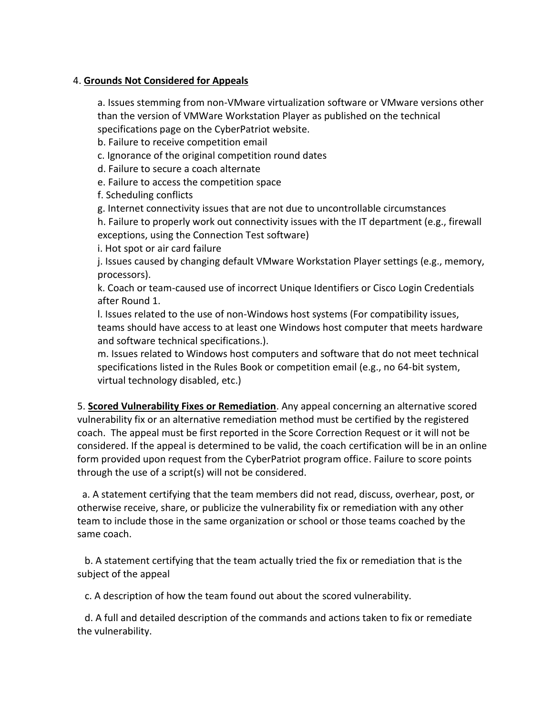### 4. **Grounds Not Considered for Appeals**

a. Issues stemming from non-VMware virtualization software or VMware versions other than the version of VMWare Workstation Player as published on the technical specifications page on the CyberPatriot website.

b. Failure to receive competition email

c. Ignorance of the original competition round dates

d. Failure to secure a coach alternate

e. Failure to access the competition space

f. Scheduling conflicts

g. Internet connectivity issues that are not due to uncontrollable circumstances

h. Failure to properly work out connectivity issues with the IT department (e.g., firewall exceptions, using the Connection Test software)

i. Hot spot or air card failure

j. Issues caused by changing default VMware Workstation Player settings (e.g., memory, processors).

k. Coach or team-caused use of incorrect Unique Identifiers or Cisco Login Credentials after Round 1.

l. Issues related to the use of non-Windows host systems (For compatibility issues, teams should have access to at least one Windows host computer that meets hardware and software technical specifications.).

m. Issues related to Windows host computers and software that do not meet technical specifications listed in the Rules Book or competition email (e.g., no 64-bit system, virtual technology disabled, etc.)

5. **Scored Vulnerability Fixes or Remediation**. Any appeal concerning an alternative scored vulnerability fix or an alternative remediation method must be certified by the registered coach. The appeal must be first reported in the Score Correction Request or it will not be considered. If the appeal is determined to be valid, the coach certification will be in an online form provided upon request from the CyberPatriot program office. Failure to score points through the use of a script(s) will not be considered.

 a. A statement certifying that the team members did not read, discuss, overhear, post, or otherwise receive, share, or publicize the vulnerability fix or remediation with any other team to include those in the same organization or school or those teams coached by the same coach.

 b. A statement certifying that the team actually tried the fix or remediation that is the subject of the appeal

c. A description of how the team found out about the scored vulnerability.

 d. A full and detailed description of the commands and actions taken to fix or remediate the vulnerability.